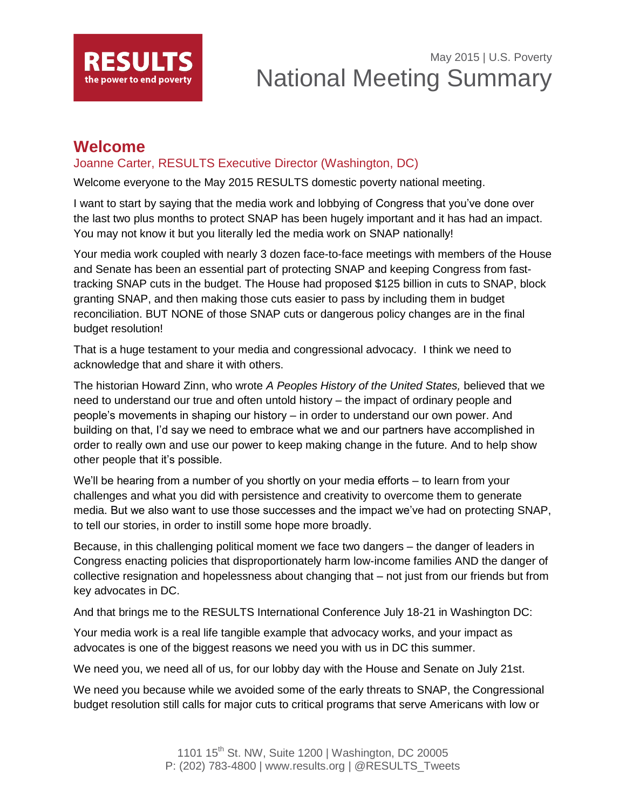

# May 2015 | U.S. Poverty National Meeting Summary

## **Welcome**

### Joanne Carter, RESULTS Executive Director (Washington, DC)

Welcome everyone to the May 2015 RESULTS domestic poverty national meeting.

I want to start by saying that the media work and lobbying of Congress that you've done over the last two plus months to protect SNAP has been hugely important and it has had an impact. You may not know it but you literally led the media work on SNAP nationally!

Your media work coupled with nearly 3 dozen face-to-face meetings with members of the House and Senate has been an essential part of protecting SNAP and keeping Congress from fasttracking SNAP cuts in the budget. The House had proposed \$125 billion in cuts to SNAP, block granting SNAP, and then making those cuts easier to pass by including them in budget reconciliation. BUT NONE of those SNAP cuts or dangerous policy changes are in the final budget resolution!

That is a huge testament to your media and congressional advocacy. I think we need to acknowledge that and share it with others.

The historian Howard Zinn, who wrote *A Peoples History of the United States,* believed that we need to understand our true and often untold history – the impact of ordinary people and people's movements in shaping our history – in order to understand our own power. And building on that, I'd say we need to embrace what we and our partners have accomplished in order to really own and use our power to keep making change in the future. And to help show other people that it's possible.

We'll be hearing from a number of you shortly on your media efforts – to learn from your challenges and what you did with persistence and creativity to overcome them to generate media. But we also want to use those successes and the impact we've had on protecting SNAP, to tell our stories, in order to instill some hope more broadly.

Because, in this challenging political moment we face two dangers – the danger of leaders in Congress enacting policies that disproportionately harm low-income families AND the danger of collective resignation and hopelessness about changing that – not just from our friends but from key advocates in DC.

And that brings me to the RESULTS International Conference July 18-21 in Washington DC:

Your media work is a real life tangible example that advocacy works, and your impact as advocates is one of the biggest reasons we need you with us in DC this summer.

We need you, we need all of us, for our lobby day with the House and Senate on July 21st.

We need you because while we avoided some of the early threats to SNAP, the Congressional budget resolution still calls for major cuts to critical programs that serve Americans with low or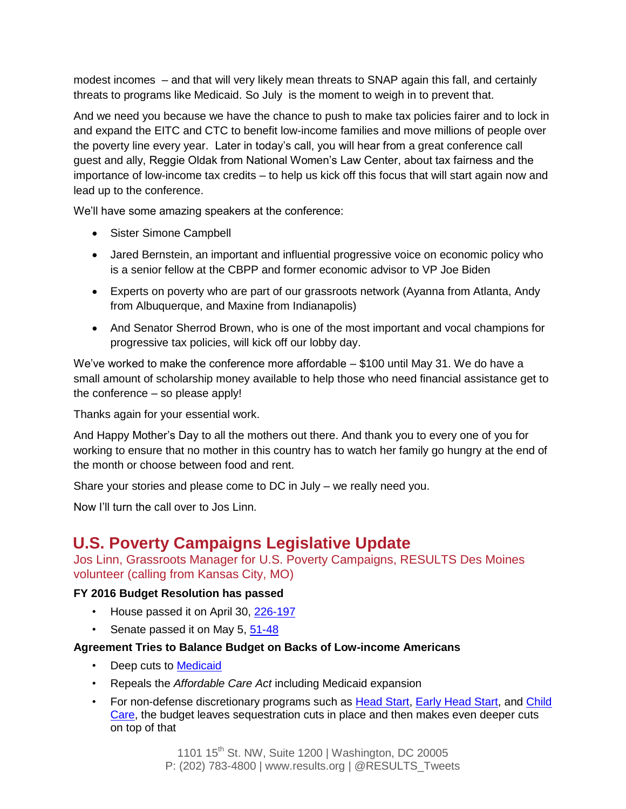modest incomes – and that will very likely mean threats to SNAP again this fall, and certainly threats to programs like Medicaid. So July is the moment to weigh in to prevent that.

And we need you because we have the chance to push to make tax policies fairer and to lock in and expand the EITC and CTC to benefit low-income families and move millions of people over the poverty line every year. Later in today's call, you will hear from a great conference call guest and ally, Reggie Oldak from National Women's Law Center, about tax fairness and the importance of low-income tax credits – to help us kick off this focus that will start again now and lead up to the conference.

We'll have some amazing speakers at the conference:

- Sister Simone Campbell
- Jared Bernstein, an important and influential progressive voice on economic policy who is a senior fellow at the CBPP and former economic advisor to VP Joe Biden
- Experts on poverty who are part of our grassroots network (Ayanna from Atlanta, Andy from Albuquerque, and Maxine from Indianapolis)
- And Senator Sherrod Brown, who is one of the most important and vocal champions for progressive tax policies, will kick off our lobby day.

We've worked to make the conference more affordable – \$100 until May 31. We do have a small amount of scholarship money available to help those who need financial assistance get to the conference – so please apply!

Thanks again for your essential work.

And Happy Mother's Day to all the mothers out there. And thank you to every one of you for working to ensure that no mother in this country has to watch her family go hungry at the end of the month or choose between food and rent.

Share your stories and please come to DC in July – we really need you.

Now I'll turn the call over to Jos Linn.

## **U.S. Poverty Campaigns Legislative Update**

Jos Linn, Grassroots Manager for U.S. Poverty Campaigns, RESULTS Des Moines volunteer (calling from Kansas City, MO)

#### **FY 2016 Budget Resolution has passed**

- House passed it on April 30, [226-197](http://capwiz.com/results/vote.xc/?votenum=183&chamber=H&congress=1141&voteid=65575631&state=US)
- Senate passed it on May 5, [51-48](http://capwiz.com/results/vote.xc/?votenum=171&chamber=S&congress=1141&voteid=65610941&state=US)

#### **Agreement Tries to Balance Budget on Backs of Low-income Americans**

- Deep cuts to [Medicaid](http://www.results.org/issues/medicaid/)
- Repeals the *Affordable Care Act* including Medicaid expansion
- For non-defense discretionary programs such as [Head Start,](http://www.results.org/issues/head_start/) [Early Head Start,](http://www.results.org/issues/early_head_start/) and Child [Care,](http://www.results.org/issues/child_care/) the budget leaves sequestration cuts in place and then makes even deeper cuts on top of that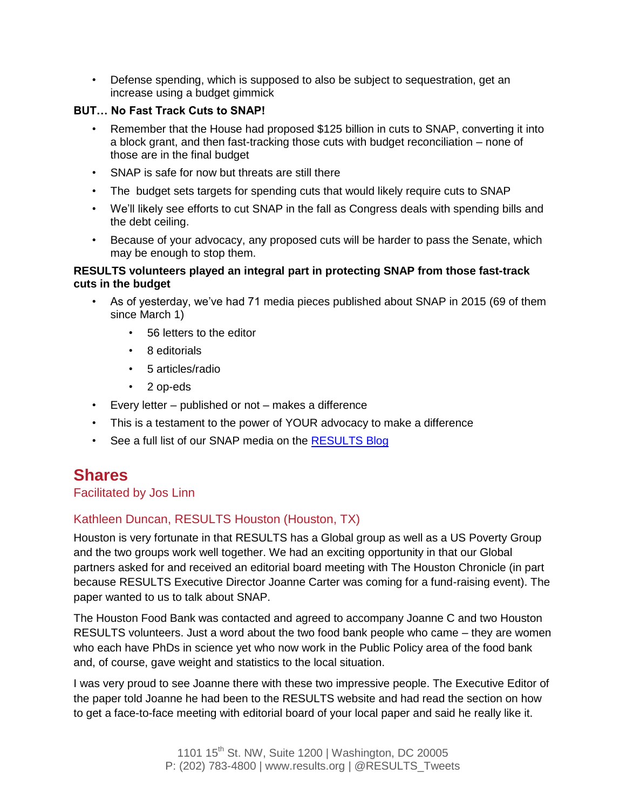• Defense spending, which is supposed to also be subject to sequestration, get an increase using a budget gimmick

#### **BUT… No Fast Track Cuts to SNAP!**

- Remember that the House had proposed \$125 billion in cuts to SNAP, converting it into a block grant, and then fast-tracking those cuts with budget reconciliation – none of those are in the final budget
- SNAP is safe for now but threats are still there
- The budget sets targets for spending cuts that would likely require cuts to SNAP
- We'll likely see efforts to cut SNAP in the fall as Congress deals with spending bills and the debt ceiling.
- Because of your advocacy, any proposed cuts will be harder to pass the Senate, which may be enough to stop them.

#### **RESULTS volunteers played an integral part in protecting SNAP from those fast-track cuts in the budget**

- As of yesterday, we've had 71 media pieces published about SNAP in 2015 (69 of them since March 1)
	- 56 letters to the editor
	- 8 editorials
	- 5 articles/radio
	- 2 op-eds
- Every letter published or not makes a difference
- This is a testament to the power of YOUR advocacy to make a difference
- See a full list of our SNAP media on the **RESULTS Blog**

## **Shares**

#### Facilitated by Jos Linn

### Kathleen Duncan, RESULTS Houston (Houston, TX)

Houston is very fortunate in that RESULTS has a Global group as well as a US Poverty Group and the two groups work well together. We had an exciting opportunity in that our Global partners asked for and received an editorial board meeting with The Houston Chronicle (in part because RESULTS Executive Director Joanne Carter was coming for a fund-raising event). The paper wanted to us to talk about SNAP.

The Houston Food Bank was contacted and agreed to accompany Joanne C and two Houston RESULTS volunteers. Just a word about the two food bank people who came – they are women who each have PhDs in science yet who now work in the Public Policy area of the food bank and, of course, gave weight and statistics to the local situation.

I was very proud to see Joanne there with these two impressive people. The Executive Editor of the paper told Joanne he had been to the RESULTS website and had read the section on how to get a face-to-face meeting with editorial board of your local paper and said he really like it.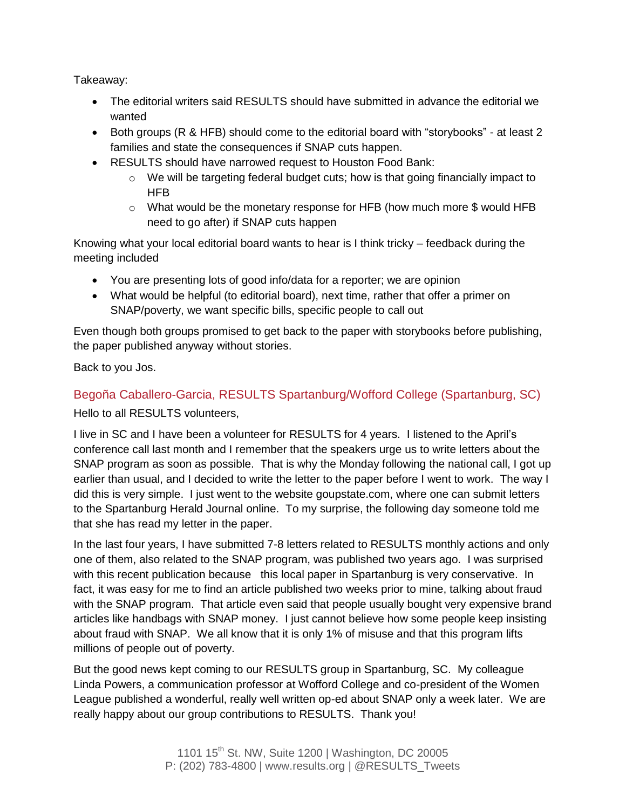Takeaway:

- The editorial writers said RESULTS should have submitted in advance the editorial we wanted
- Both groups (R & HFB) should come to the editorial board with "storybooks" at least 2 families and state the consequences if SNAP cuts happen.
- RESULTS should have narrowed request to Houston Food Bank:
	- $\circ$  We will be targeting federal budget cuts; how is that going financially impact to HFB
	- o What would be the monetary response for HFB (how much more \$ would HFB need to go after) if SNAP cuts happen

Knowing what your local editorial board wants to hear is I think tricky – feedback during the meeting included

- You are presenting lots of good info/data for a reporter; we are opinion
- What would be helpful (to editorial board), next time, rather that offer a primer on SNAP/poverty, we want specific bills, specific people to call out

Even though both groups promised to get back to the paper with storybooks before publishing, the paper published anyway without stories.

Back to you Jos.

## Begoña Caballero-Garcia, RESULTS Spartanburg/Wofford College (Spartanburg, SC)

Hello to all RESULTS volunteers,

I live in SC and I have been a volunteer for RESULTS for 4 years. I listened to the April's conference call last month and I remember that the speakers urge us to write letters about the SNAP program as soon as possible. That is why the Monday following the national call, I got up earlier than usual, and I decided to write the letter to the paper before I went to work. The way I did this is very simple. I just went to the website goupstate.com, where one can submit letters to the Spartanburg Herald Journal online. To my surprise, the following day someone told me that she has read my letter in the paper.

In the last four years, I have submitted 7-8 letters related to RESULTS monthly actions and only one of them, also related to the SNAP program, was published two years ago. I was surprised with this recent publication because this local paper in Spartanburg is very conservative. In fact, it was easy for me to find an article published two weeks prior to mine, talking about fraud with the SNAP program. That article even said that people usually bought very expensive brand articles like handbags with SNAP money. I just cannot believe how some people keep insisting about fraud with SNAP. We all know that it is only 1% of misuse and that this program lifts millions of people out of poverty.

But the good news kept coming to our RESULTS group in Spartanburg, SC. My colleague Linda Powers, a communication professor at Wofford College and co-president of the Women League published a wonderful, really well written op-ed about SNAP only a week later. We are really happy about our group contributions to RESULTS. Thank you!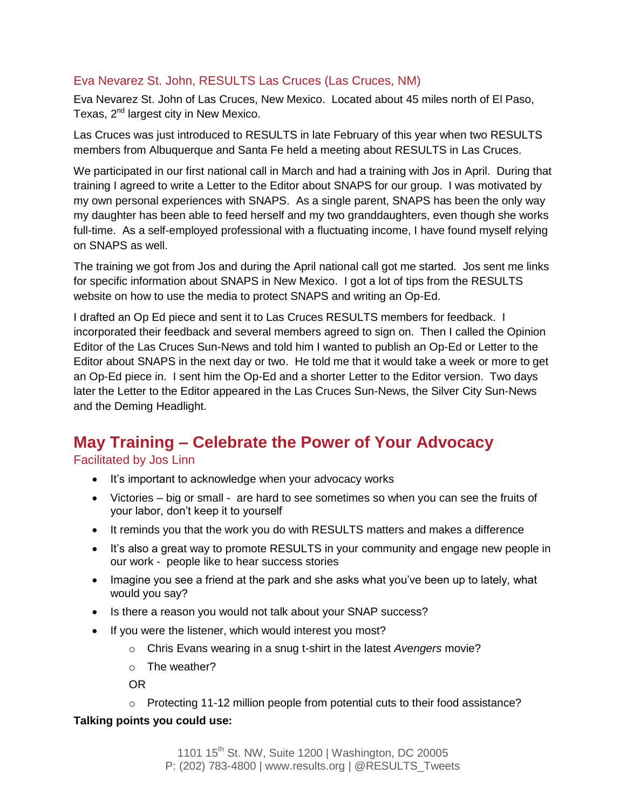### Eva Nevarez St. John, RESULTS Las Cruces (Las Cruces, NM)

Eva Nevarez St. John of Las Cruces, New Mexico. Located about 45 miles north of El Paso, Texas,  $2^{nd}$  largest city in New Mexico.

Las Cruces was just introduced to RESULTS in late February of this year when two RESULTS members from Albuquerque and Santa Fe held a meeting about RESULTS in Las Cruces.

We participated in our first national call in March and had a training with Jos in April. During that training I agreed to write a Letter to the Editor about SNAPS for our group. I was motivated by my own personal experiences with SNAPS. As a single parent, SNAPS has been the only way my daughter has been able to feed herself and my two granddaughters, even though she works full-time. As a self-employed professional with a fluctuating income, I have found myself relying on SNAPS as well.

The training we got from Jos and during the April national call got me started. Jos sent me links for specific information about SNAPS in New Mexico. I got a lot of tips from the RESULTS website on how to use the media to protect SNAPS and writing an Op-Ed.

I drafted an Op Ed piece and sent it to Las Cruces RESULTS members for feedback. I incorporated their feedback and several members agreed to sign on. Then I called the Opinion Editor of the Las Cruces Sun-News and told him I wanted to publish an Op-Ed or Letter to the Editor about SNAPS in the next day or two. He told me that it would take a week or more to get an Op-Ed piece in. I sent him the Op-Ed and a shorter Letter to the Editor version. Two days later the Letter to the Editor appeared in the Las Cruces Sun-News, the Silver City Sun-News and the Deming Headlight.

## **May Training – Celebrate the Power of Your Advocacy**

Facilitated by Jos Linn

- It's important to acknowledge when your advocacy works
- Victories big or small are hard to see sometimes so when you can see the fruits of your labor, don't keep it to yourself
- It reminds you that the work you do with RESULTS matters and makes a difference
- It's also a great way to promote RESULTS in your community and engage new people in our work - people like to hear success stories
- Imagine you see a friend at the park and she asks what you've been up to lately, what would you say?
- Is there a reason you would not talk about your SNAP success?
- If you were the listener, which would interest you most?
	- o Chris Evans wearing in a snug t-shirt in the latest *Avengers* movie?
	- $\circ$  The weather?

OR

 $\circ$  Protecting 11-12 million people from potential cuts to their food assistance?

#### **Talking points you could use:**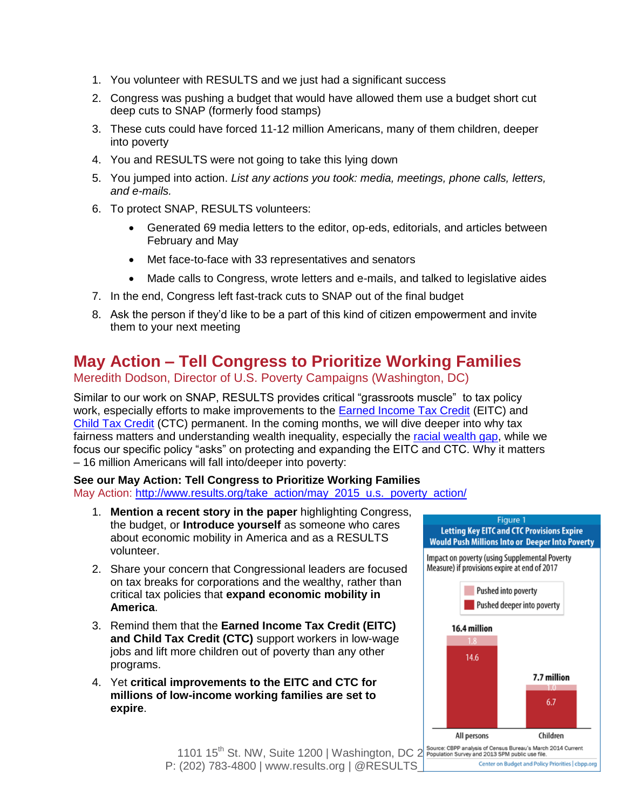- 1. You volunteer with RESULTS and we just had a significant success
- 2. Congress was pushing a budget that would have allowed them use a budget short cut deep cuts to SNAP (formerly food stamps)
- 3. These cuts could have forced 11-12 million Americans, many of them children, deeper into poverty
- 4. You and RESULTS were not going to take this lying down
- 5. You jumped into action. *List any actions you took: media, meetings, phone calls, letters, and e-mails.*
- 6. To protect SNAP, RESULTS volunteers:
	- Generated 69 media letters to the editor, op-eds, editorials, and articles between February and May
	- Met face-to-face with 33 representatives and senators
	- Made calls to Congress, wrote letters and e-mails, and talked to legislative aides
- 7. In the end, Congress left fast-track cuts to SNAP out of the final budget
- 8. Ask the person if they'd like to be a part of this kind of citizen empowerment and invite them to your next meeting

## **May Action – Tell Congress to Prioritize Working Families**

### Meredith Dodson, Director of U.S. Poverty Campaigns (Washington, DC)

Similar to our work on SNAP, RESULTS provides critical "grassroots muscle" to tax policy work, especially efforts to make improvements to the [Earned Income Tax Credit](http://www.results.org/issues/earned_income_tax_credit/) (EITC) and [Child Tax Credit](http://www.results.org/issues/child_tax_credit/) (CTC) permanent. In the coming months, we will dive deeper into why tax fairness matters and understanding wealth inequality, especially the [racial wealth gap,](http://www.results.org/issues/the_racial_wealth_gap/) while we focus our specific policy "asks" on protecting and expanding the EITC and CTC. Why it matters – 16 million Americans will fall into/deeper into poverty:

#### **See our May Action: Tell Congress to Prioritize Working Families** May Action: [http://www.results.org/take\\_action/may\\_2015\\_u.s.\\_poverty\\_action/](http://www.results.org/take_action/may_2015_u.s._poverty_action/)

- 1. **Mention a recent story in the paper** highlighting Congress, the budget, or **Introduce yourself** as someone who cares about economic mobility in America and as a RESULTS volunteer.
- 2. Share your concern that Congressional leaders are focused on tax breaks for corporations and the wealthy, rather than critical tax policies that **expand economic mobility in America**.
- 3. Remind them that the **Earned Income Tax Credit (EITC) and Child Tax Credit (CTC)** support workers in low-wage jobs and lift more children out of poverty than any other programs.
- 4. Yet **critical improvements to the EITC and CTC for millions of low-income working families are set to expire**.



1101  $15^{\text{th}}$  St. NW, Suite 1200 | Washington, DC  $2^{\frac{1}{2}}$  Source: CBPP analysis of Census Bureau's March 2014 Current Center on Budget and Policy Priorities | chpp.org P: (202) 783-4800 | www.results.org |  $@RESULTS$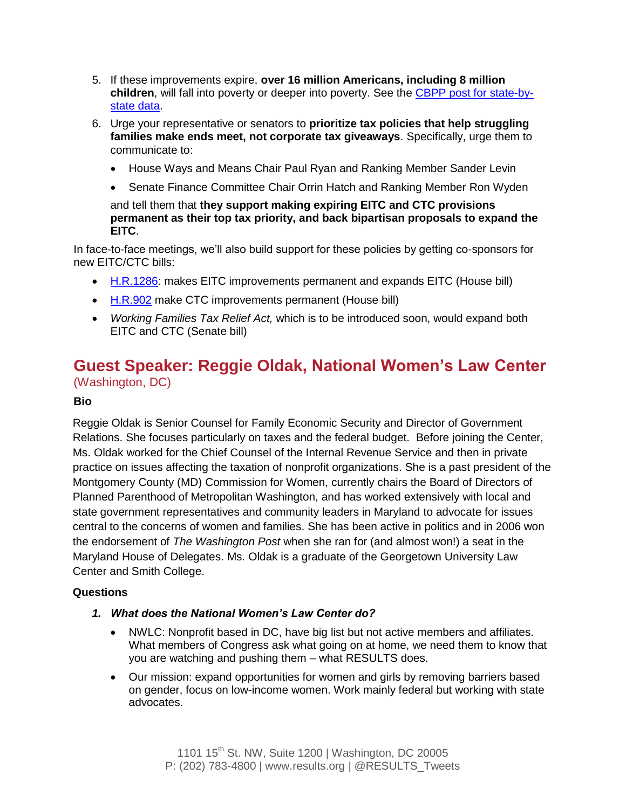- 5. If these improvements expire, **over 16 million Americans, including 8 million children**, will fall into poverty or deeper into poverty. See the [CBPP post for state-by](http://www.cbpp.org/research/letting-key-provisions-of-working-family-tax-credits-expire-would-push-16-million-people)[state data.](http://www.cbpp.org/research/letting-key-provisions-of-working-family-tax-credits-expire-would-push-16-million-people)
- 6. Urge your representative or senators to **prioritize tax policies that help struggling families make ends meet, not corporate tax giveaways**. Specifically, urge them to communicate to:
	- House Ways and Means Chair Paul Ryan and Ranking Member Sander Levin
	- Senate Finance Committee Chair Orrin Hatch and Ranking Member Ron Wyden

and tell them that **they support making expiring EITC and CTC provisions permanent as their top tax priority, and back bipartisan proposals to expand the EITC**.

In face-to-face meetings, we'll also build support for these policies by getting co-sponsors for new EITC/CTC bills:

- [H.R.1286:](http://capwiz.com/results/issues/bills/?bill=64205501) makes EITC improvements permanent and expands EITC (House bill)
- [H.R.902](http://capwiz.com/results/issues/bills/?bill=64181791) make CTC improvements permanent (House bill)
- *Working Families Tax Relief Act,* which is to be introduced soon, would expand both EITC and CTC (Senate bill)

### **Guest Speaker: Reggie Oldak, National Women's Law Center** (Washington, DC)

#### **Bio**

Reggie Oldak is Senior Counsel for Family Economic Security and Director of Government Relations. She focuses particularly on taxes and the federal budget. Before joining the Center, Ms. Oldak worked for the Chief Counsel of the Internal Revenue Service and then in private practice on issues affecting the taxation of nonprofit organizations. She is a past president of the Montgomery County (MD) Commission for Women, currently chairs the Board of Directors of Planned Parenthood of Metropolitan Washington, and has worked extensively with local and state government representatives and community leaders in Maryland to advocate for issues central to the concerns of women and families. She has been active in politics and in 2006 won the endorsement of *The Washington Post* when she ran for (and almost won!) a seat in the Maryland House of Delegates. Ms. Oldak is a graduate of the Georgetown University Law Center and Smith College.

#### **Questions**

- *1. What does the National Women's Law Center do?*
	- NWLC: Nonprofit based in DC, have big list but not active members and affiliates. What members of Congress ask what going on at home, we need them to know that you are watching and pushing them – what RESULTS does.
	- Our mission: expand opportunities for women and girls by removing barriers based on gender, focus on low-income women. Work mainly federal but working with state advocates.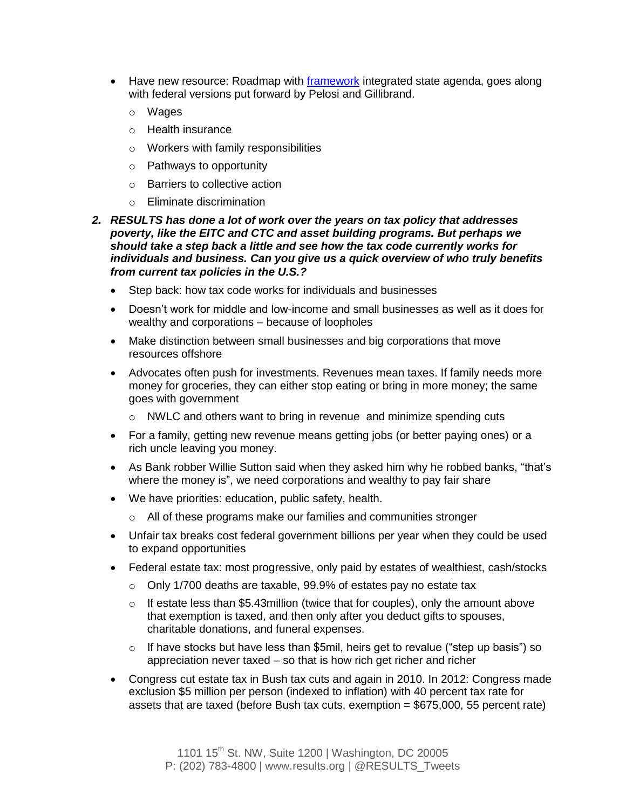- Have new resource: Roadmap with [framework](http://www.nwlc.org/roadmap) integrated state agenda, goes along with federal versions put forward by Pelosi and Gillibrand.
	- o Wages
	- o Health insurance
	- o Workers with family responsibilities
	- o Pathways to opportunity
	- o Barriers to collective action
	- o Eliminate discrimination
- *2. RESULTS has done a lot of work over the years on tax policy that addresses poverty, like the EITC and CTC and asset building programs. But perhaps we should take a step back a little and see how the tax code currently works for individuals and business. Can you give us a quick overview of who truly benefits from current tax policies in the U.S.?*
	- Step back: how tax code works for individuals and businesses
	- Doesn't work for middle and low-income and small businesses as well as it does for wealthy and corporations – because of loopholes
	- Make distinction between small businesses and big corporations that move resources offshore
	- Advocates often push for investments. Revenues mean taxes. If family needs more money for groceries, they can either stop eating or bring in more money; the same goes with government
		- o NWLC and others want to bring in revenue and minimize spending cuts
	- For a family, getting new revenue means getting jobs (or better paying ones) or a rich uncle leaving you money.
	- As Bank robber Willie Sutton said when they asked him why he robbed banks, "that's where the money is", we need corporations and wealthy to pay fair share
	- We have priorities: education, public safety, health.
		- o All of these programs make our families and communities stronger
	- Unfair tax breaks cost federal government billions per year when they could be used to expand opportunities
	- Federal estate tax: most progressive, only paid by estates of wealthiest, cash/stocks
		- o Only 1/700 deaths are taxable, 99.9% of estates pay no estate tax
		- $\circ$  If estate less than \$5.43 million (twice that for couples), only the amount above that exemption is taxed, and then only after you deduct gifts to spouses, charitable donations, and funeral expenses.
		- $\circ$  If have stocks but have less than \$5mil, heirs get to revalue ("step up basis") so appreciation never taxed – so that is how rich get richer and richer
	- Congress cut estate tax in Bush tax cuts and again in 2010. In 2012: Congress made exclusion \$5 million per person (indexed to inflation) with 40 percent tax rate for assets that are taxed (before Bush tax cuts, exemption  $= $675,000, 55$  percent rate)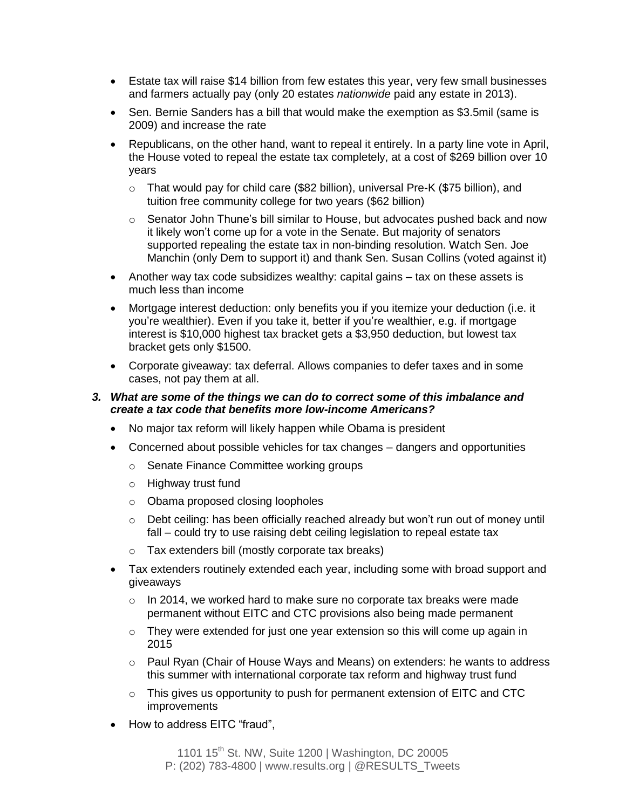- Estate tax will raise \$14 billion from few estates this year, very few small businesses and farmers actually pay (only 20 estates *nationwide* paid any estate in 2013).
- Sen. Bernie Sanders has a bill that would make the exemption as \$3.5mil (same is 2009) and increase the rate
- Republicans, on the other hand, want to repeal it entirely. In a party line vote in April, the House voted to repeal the estate tax completely, at a cost of \$269 billion over 10 years
	- o That would pay for child care (\$82 billion), universal Pre-K (\$75 billion), and tuition free community college for two years (\$62 billion)
	- o Senator John Thune's bill similar to House, but advocates pushed back and now it likely won't come up for a vote in the Senate. But majority of senators supported repealing the estate tax in non-binding resolution. Watch Sen. Joe Manchin (only Dem to support it) and thank Sen. Susan Collins (voted against it)
- Another way tax code subsidizes wealthy: capital gains tax on these assets is much less than income
- Mortgage interest deduction: only benefits you if you itemize your deduction (i.e. it you're wealthier). Even if you take it, better if you're wealthier, e.g. if mortgage interest is \$10,000 highest tax bracket gets a \$3,950 deduction, but lowest tax bracket gets only \$1500.
- Corporate giveaway: tax deferral. Allows companies to defer taxes and in some cases, not pay them at all.

#### *3. What are some of the things we can do to correct some of this imbalance and create a tax code that benefits more low-income Americans?*

- No major tax reform will likely happen while Obama is president
- Concerned about possible vehicles for tax changes dangers and opportunities
	- o Senate Finance Committee working groups
	- o Highway trust fund
	- o Obama proposed closing loopholes
	- o Debt ceiling: has been officially reached already but won't run out of money until fall – could try to use raising debt ceiling legislation to repeal estate tax
	- o Tax extenders bill (mostly corporate tax breaks)
- Tax extenders routinely extended each year, including some with broad support and giveaways
	- o In 2014, we worked hard to make sure no corporate tax breaks were made permanent without EITC and CTC provisions also being made permanent
	- $\circ$  They were extended for just one year extension so this will come up again in 2015
	- o Paul Ryan (Chair of House Ways and Means) on extenders: he wants to address this summer with international corporate tax reform and highway trust fund
	- $\circ$  This gives us opportunity to push for permanent extension of EITC and CTC improvements
- How to address EITC "fraud",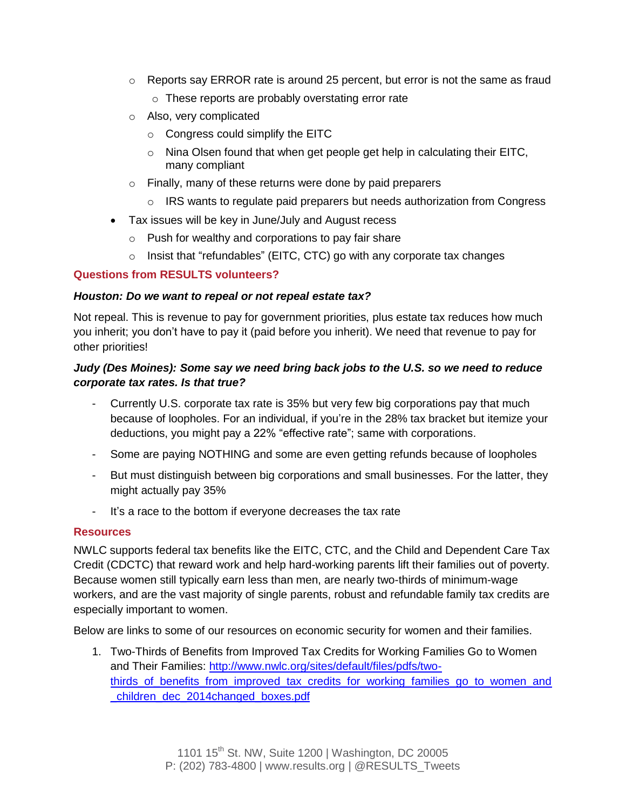- $\circ$  Reports say ERROR rate is around 25 percent, but error is not the same as fraud o These reports are probably overstating error rate
- o Also, very complicated
	- o Congress could simplify the EITC
	- o Nina Olsen found that when get people get help in calculating their EITC, many compliant
- o Finally, many of these returns were done by paid preparers
	- $\circ$  IRS wants to regulate paid preparers but needs authorization from Congress
- Tax issues will be key in June/July and August recess
	- o Push for wealthy and corporations to pay fair share
	- $\circ$  Insist that "refundables" (EITC, CTC) go with any corporate tax changes

### **Questions from RESULTS volunteers?**

#### *Houston: Do we want to repeal or not repeal estate tax?*

Not repeal. This is revenue to pay for government priorities, plus estate tax reduces how much you inherit; you don't have to pay it (paid before you inherit). We need that revenue to pay for other priorities!

### *Judy (Des Moines): Some say we need bring back jobs to the U.S. so we need to reduce corporate tax rates. Is that true?*

- Currently U.S. corporate tax rate is 35% but very few big corporations pay that much because of loopholes. For an individual, if you're in the 28% tax bracket but itemize your deductions, you might pay a 22% "effective rate"; same with corporations.
- Some are paying NOTHING and some are even getting refunds because of loopholes
- But must distinguish between big corporations and small businesses. For the latter, they might actually pay 35%
- It's a race to the bottom if everyone decreases the tax rate

#### **Resources**

NWLC supports federal tax benefits like the EITC, CTC, and the Child and Dependent Care Tax Credit (CDCTC) that reward work and help hard-working parents lift their families out of poverty. Because women still typically earn less than men, are nearly two-thirds of minimum-wage workers, and are the vast majority of single parents, robust and refundable family tax credits are especially important to women.

Below are links to some of our resources on economic security for women and their families.

1. Two-Thirds of Benefits from Improved Tax Credits for Working Families Go to Women and Their Families: [http://www.nwlc.org/sites/default/files/pdfs/two](http://www.nwlc.org/sites/default/files/pdfs/two-thirds_of_benefits_from_improved_tax_credits_for_working_families_go_to_women_and_children_dec_2014changed_boxes.pdf)[thirds\\_of\\_benefits\\_from\\_improved\\_tax\\_credits\\_for\\_working\\_families\\_go\\_to\\_women\\_and](http://www.nwlc.org/sites/default/files/pdfs/two-thirds_of_benefits_from_improved_tax_credits_for_working_families_go_to_women_and_children_dec_2014changed_boxes.pdf) [\\_children\\_dec\\_2014changed\\_boxes.pdf](http://www.nwlc.org/sites/default/files/pdfs/two-thirds_of_benefits_from_improved_tax_credits_for_working_families_go_to_women_and_children_dec_2014changed_boxes.pdf)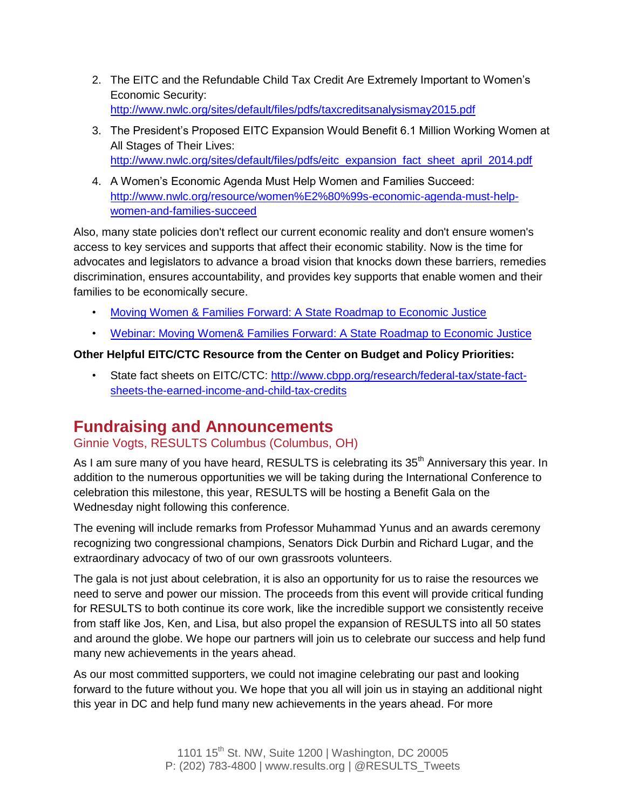- 2. The EITC and the Refundable Child Tax Credit Are Extremely Important to Women's Economic Security: <http://www.nwlc.org/sites/default/files/pdfs/taxcreditsanalysismay2015.pdf>
- 3. The President's Proposed EITC Expansion Would Benefit 6.1 Million Working Women at All Stages of Their Lives: [http://www.nwlc.org/sites/default/files/pdfs/eitc\\_expansion\\_fact\\_sheet\\_april\\_2014.pdf](http://www.nwlc.org/sites/default/files/pdfs/eitc_expansion_fact_sheet_april_2014.pdf)
- 4. A Women's Economic Agenda Must Help Women and Families Succeed: [http://www.nwlc.org/resource/women%E2%80%99s-economic-agenda-must-help](http://www.nwlc.org/resource/women%E2%80%99s-economic-agenda-must-help-women-and-families-succeed)[women-and-families-succeed](http://www.nwlc.org/resource/women%E2%80%99s-economic-agenda-must-help-women-and-families-succeed)

Also, many state policies don't reflect our current economic reality and don't ensure women's access to key services and supports that affect their economic stability. Now is the time for advocates and legislators to advance a broad vision that knocks down these barriers, remedies discrimination, ensures accountability, and provides key supports that enable women and their families to be economically secure.

- [Moving Women & Families Forward: A State Roadmap to Economic Justice](http://www.nwlc.org/roadmap)
- [Webinar: Moving Women& Families Forward: A State Roadmap to Economic Justice](http://www.nwlc.org/resource/webinar-moving-women-families-forward-state-roadmap-economic-justice)

### **Other Helpful EITC/CTC Resource from the Center on Budget and Policy Priorities:**

• State fact sheets on EITC/CTC: [http://www.cbpp.org/research/federal-tax/state-fact](http://www.cbpp.org/research/federal-tax/state-fact-sheets-the-earned-income-and-child-tax-credits)[sheets-the-earned-income-and-child-tax-credits](http://www.cbpp.org/research/federal-tax/state-fact-sheets-the-earned-income-and-child-tax-credits) 

## **Fundraising and Announcements**

## Ginnie Vogts, RESULTS Columbus (Columbus, OH)

As I am sure many of you have heard, RESULTS is celebrating its 35<sup>th</sup> Anniversary this year. In addition to the numerous opportunities we will be taking during the International Conference to celebration this milestone, this year, RESULTS will be hosting a Benefit Gala on the Wednesday night following this conference.

The evening will include remarks from Professor Muhammad Yunus and an awards ceremony recognizing two congressional champions, Senators Dick Durbin and Richard Lugar, and the extraordinary advocacy of two of our own grassroots volunteers.

The gala is not just about celebration, it is also an opportunity for us to raise the resources we need to serve and power our mission. The proceeds from this event will provide critical funding for RESULTS to both continue its core work, like the incredible support we consistently receive from staff like Jos, Ken, and Lisa, but also propel the expansion of RESULTS into all 50 states and around the globe. We hope our partners will join us to celebrate our success and help fund many new achievements in the years ahead.

As our most committed supporters, we could not imagine celebrating our past and looking forward to the future without you. We hope that you all will join us in staying an additional night this year in DC and help fund many new achievements in the years ahead. For more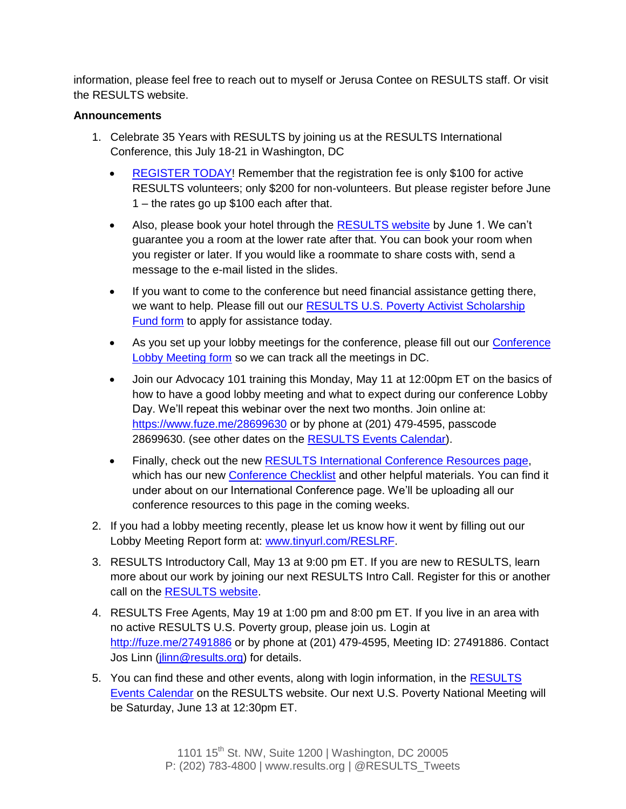information, please feel free to reach out to myself or Jerusa Contee on RESULTS staff. Or visit the RESULTS website.

#### **Announcements**

- 1. Celebrate 35 Years with RESULTS by joining us at the RESULTS International Conference, this July 18-21 in Washington, DC
	- [REGISTER TODAY!](http://www.results.org/events/IC_2015/) Remember that the registration fee is only \$100 for active RESULTS volunteers; only \$200 for non-volunteers. But please register before June 1 – the rates go up \$100 each after that.
	- Also, please book your hotel through the [RESULTS website](http://www.results.org/events/IC_2015/) by June 1. We can't guarantee you a room at the lower rate after that. You can book your room when you register or later. If you would like a roommate to share costs with, send a message to the e-mail listed in the slides.
	- If you want to come to the conference but need financial assistance getting there, we want to help. Please fill out our [RESULTS U.S. Poverty Activist Scholarship](https://docs.google.com/forms/d/1acNL1CaBF8x0nCwPlSGxa2yK-r_qEpz8TjC5usZu3IY/viewform)  [Fund form](https://docs.google.com/forms/d/1acNL1CaBF8x0nCwPlSGxa2yK-r_qEpz8TjC5usZu3IY/viewform) to apply for assistance today.
	- As you set up your lobby meetings for the conference, please fill out our [Conference](https://docs.google.com/forms/d/1yFd_Hp0nSdxlwwifUojMClF6F59hPd0U_5zcEhqsgnk/viewform)  [Lobby Meeting form](https://docs.google.com/forms/d/1yFd_Hp0nSdxlwwifUojMClF6F59hPd0U_5zcEhqsgnk/viewform) so we can track all the meetings in DC.
	- Join our Advocacy 101 training this Monday, May 11 at 12:00pm ET on the basics of how to have a good lobby meeting and what to expect during our conference Lobby Day. We'll repeat this webinar over the next two months. Join online at: <https://www.fuze.me/28699630> or by phone at (201) 479-4595, passcode 28699630. (see other dates on the [RESULTS Events Calendar\)](http://www.results.org/events/events_calendar/).
	- Finally, check out the new **RESULTS International Conference Resources page**, which has our new [Conference Checklist](http://www.results.org/uploads/files/2015_IC_Checklist.pdf) and other helpful materials. You can find it under about on our International Conference page. We'll be uploading all our conference resources to this page in the coming weeks.
- 2. If you had a lobby meeting recently, please let us know how it went by filling out our Lobby Meeting Report form at: [www.tinyurl.com/RESLRF.](http://www.tinyurl.com/RESLRF)
- 3. RESULTS Introductory Call, May 13 at 9:00 pm ET. If you are new to RESULTS, learn more about our work by joining our next RESULTS Intro Call. Register for this or another call on the [RESULTS website.](http://www.results.org/take_action/become_a_results_activist/)
- 4. RESULTS Free Agents, May 19 at 1:00 pm and 8:00 pm ET. If you live in an area with no active RESULTS U.S. Poverty group, please join us. Login at <http://fuze.me/27491886> or by phone at (201) 479-4595, Meeting ID: 27491886. Contact Jos Linn (*jlinn@results.org*) for details.
- 5. You can find these and other events, along with login information, in the RESULTS [Events Calendar](http://www.results.org/events/events_calendar/) on the RESULTS website. Our next U.S. Poverty National Meeting will be Saturday, June 13 at 12:30pm ET.